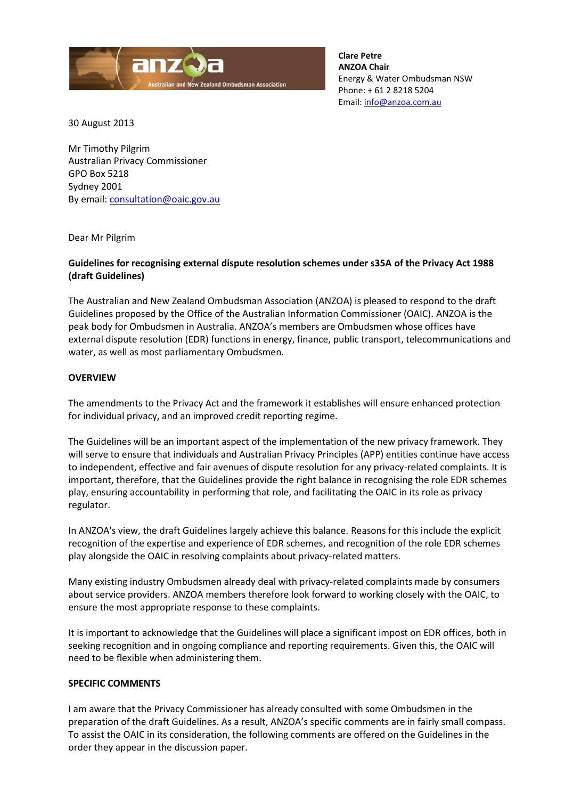

**Clare Petre ANZOA Chair** Energy & Water Ombudsman NSW Phone: + 61 2 8218 5204 Email: [info@anzoa.com.au](mailto:info@anzoa.com.au)

30 August 2013

Mr Timothy Pilgrim Australian Privacy Commissioner GPO Box 5218 Sydney 2001 By email: [consultation@oaic.gov.au](mailto:consultation@oaic.gov.au)

Dear Mr Pilgrim

## **Guidelines for recognising external dispute resolution schemes under s35A of the Privacy Act 1988 (draft Guidelines)**

The Australian and New Zealand Ombudsman Association (ANZOA) is pleased to respond to the draft Guidelines proposed by the Office of the Australian Information Commissioner (OAIC). ANZOA is the peak body for Ombudsmen in Australia. ANZOA's members are Ombudsmen whose offices have external dispute resolution (EDR) functions in energy, finance, public transport, telecommunications and water, as well as most parliamentary Ombudsmen.

# **OVERVIEW**

The amendments to the Privacy Act and the framework it establishes will ensure enhanced protection for individual privacy, and an improved credit reporting regime.

The Guidelines will be an important aspect of the implementation of the new privacy framework. They will serve to ensure that individuals and Australian Privacy Principles (APP) entities continue have access to independent, effective and fair avenues of dispute resolution for any privacy-related complaints. It is important, therefore, that the Guidelines provide the right balance in recognising the role EDR schemes play, ensuring accountability in performing that role, and facilitating the OAIC in its role as privacy regulator.

In ANZOA's view, the draft Guidelines largely achieve this balance. Reasons for this include the explicit recognition of the expertise and experience of EDR schemes, and recognition of the role EDR schemes play alongside the OAIC in resolving complaints about privacy-related matters.

Many existing industry Ombudsmen already deal with privacy-related complaints made by consumers about service providers. ANZOA members therefore look forward to working closely with the OAIC, to ensure the most appropriate response to these complaints.

It is important to acknowledge that the Guidelines will place a significant impost on EDR offices, both in seeking recognition and in ongoing compliance and reporting requirements. Given this, the OAIC will need to be flexible when administering them.

## **SPECIFIC COMMENTS**

I am aware that the Privacy Commissioner has already consulted with some Ombudsmen in the preparation of the draft Guidelines. As a result, ANZOA's specific comments are in fairly small compass. To assist the OAIC in its consideration, the following comments are offered on the Guidelines in the order they appear in the discussion paper.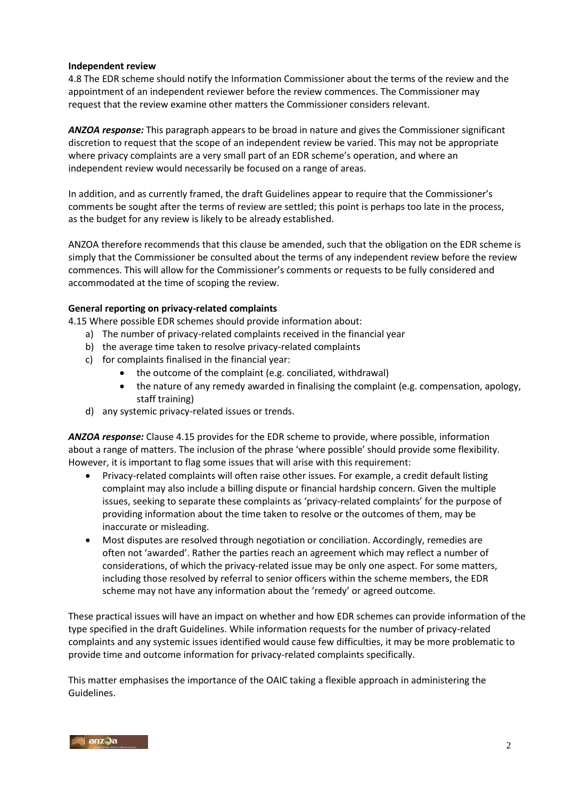### **Independent review**

4.8 The EDR scheme should notify the Information Commissioner about the terms of the review and the appointment of an independent reviewer before the review commences. The Commissioner may request that the review examine other matters the Commissioner considers relevant.

*ANZOA response:* This paragraph appears to be broad in nature and gives the Commissioner significant discretion to request that the scope of an independent review be varied. This may not be appropriate where privacy complaints are a very small part of an EDR scheme's operation, and where an independent review would necessarily be focused on a range of areas.

In addition, and as currently framed, the draft Guidelines appear to require that the Commissioner's comments be sought after the terms of review are settled; this point is perhaps too late in the process, as the budget for any review is likely to be already established.

ANZOA therefore recommends that this clause be amended, such that the obligation on the EDR scheme is simply that the Commissioner be consulted about the terms of any independent review before the review commences. This will allow for the Commissioner's comments or requests to be fully considered and accommodated at the time of scoping the review.

### **General reporting on privacy-related complaints**

4.15 Where possible EDR schemes should provide information about:

- a) The number of privacy-related complaints received in the financial year
- b) the average time taken to resolve privacy-related complaints
- c) for complaints finalised in the financial year:
	- the outcome of the complaint (e.g. conciliated, withdrawal)
	- the nature of any remedy awarded in finalising the complaint (e.g. compensation, apology, staff training)
- d) any systemic privacy-related issues or trends.

*ANZOA response:* Clause 4.15 provides for the EDR scheme to provide, where possible, information about a range of matters. The inclusion of the phrase 'where possible' should provide some flexibility. However, it is important to flag some issues that will arise with this requirement:

- Privacy-related complaints will often raise other issues. For example, a credit default listing complaint may also include a billing dispute or financial hardship concern. Given the multiple issues, seeking to separate these complaints as 'privacy-related complaints' for the purpose of providing information about the time taken to resolve or the outcomes of them, may be inaccurate or misleading.
- Most disputes are resolved through negotiation or conciliation. Accordingly, remedies are often not 'awarded'. Rather the parties reach an agreement which may reflect a number of considerations, of which the privacy-related issue may be only one aspect. For some matters, including those resolved by referral to senior officers within the scheme members, the EDR scheme may not have any information about the 'remedy' or agreed outcome.

These practical issues will have an impact on whether and how EDR schemes can provide information of the type specified in the draft Guidelines. While information requests for the number of privacy-related complaints and any systemic issues identified would cause few difficulties, it may be more problematic to provide time and outcome information for privacy-related complaints specifically.

This matter emphasises the importance of the OAIC taking a flexible approach in administering the Guidelines.

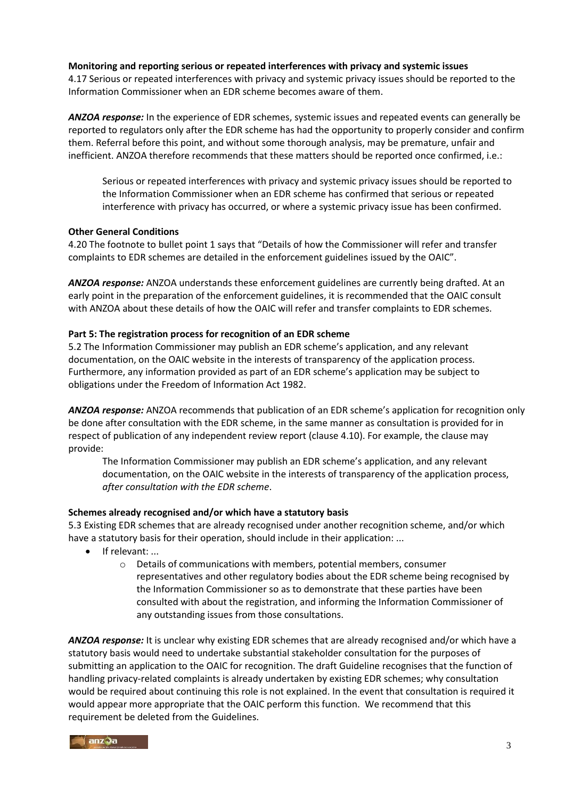#### **Monitoring and reporting serious or repeated interferences with privacy and systemic issues**

4.17 Serious or repeated interferences with privacy and systemic privacy issues should be reported to the Information Commissioner when an EDR scheme becomes aware of them.

*ANZOA response:* In the experience of EDR schemes, systemic issues and repeated events can generally be reported to regulators only after the EDR scheme has had the opportunity to properly consider and confirm them. Referral before this point, and without some thorough analysis, may be premature, unfair and inefficient. ANZOA therefore recommends that these matters should be reported once confirmed, i.e.:

Serious or repeated interferences with privacy and systemic privacy issues should be reported to the Information Commissioner when an EDR scheme has confirmed that serious or repeated interference with privacy has occurred, or where a systemic privacy issue has been confirmed.

### **Other General Conditions**

4.20 The footnote to bullet point 1 says that "Details of how the Commissioner will refer and transfer complaints to EDR schemes are detailed in the enforcement guidelines issued by the OAIC".

*ANZOA response:* ANZOA understands these enforcement guidelines are currently being drafted. At an early point in the preparation of the enforcement guidelines, it is recommended that the OAIC consult with ANZOA about these details of how the OAIC will refer and transfer complaints to EDR schemes.

### **Part 5: The registration process for recognition of an EDR scheme**

5.2 The Information Commissioner may publish an EDR scheme's application, and any relevant documentation, on the OAIC website in the interests of transparency of the application process. Furthermore, any information provided as part of an EDR scheme's application may be subject to obligations under the Freedom of Information Act 1982.

*ANZOA response:* ANZOA recommends that publication of an EDR scheme's application for recognition only be done after consultation with the EDR scheme, in the same manner as consultation is provided for in respect of publication of any independent review report (clause 4.10). For example, the clause may provide:

The Information Commissioner may publish an EDR scheme's application, and any relevant documentation, on the OAIC website in the interests of transparency of the application process, *after consultation with the EDR scheme*.

#### **Schemes already recognised and/or which have a statutory basis**

5.3 Existing EDR schemes that are already recognised under another recognition scheme, and/or which have a statutory basis for their operation, should include in their application: ...

- If relevant: ...
	- o Details of communications with members, potential members, consumer representatives and other regulatory bodies about the EDR scheme being recognised by the Information Commissioner so as to demonstrate that these parties have been consulted with about the registration, and informing the Information Commissioner of any outstanding issues from those consultations.

*ANZOA response:* It is unclear why existing EDR schemes that are already recognised and/or which have a statutory basis would need to undertake substantial stakeholder consultation for the purposes of submitting an application to the OAIC for recognition. The draft Guideline recognises that the function of handling privacy-related complaints is already undertaken by existing EDR schemes; why consultation would be required about continuing this role is not explained. In the event that consultation is required it would appear more appropriate that the OAIC perform this function. We recommend that this requirement be deleted from the Guidelines.